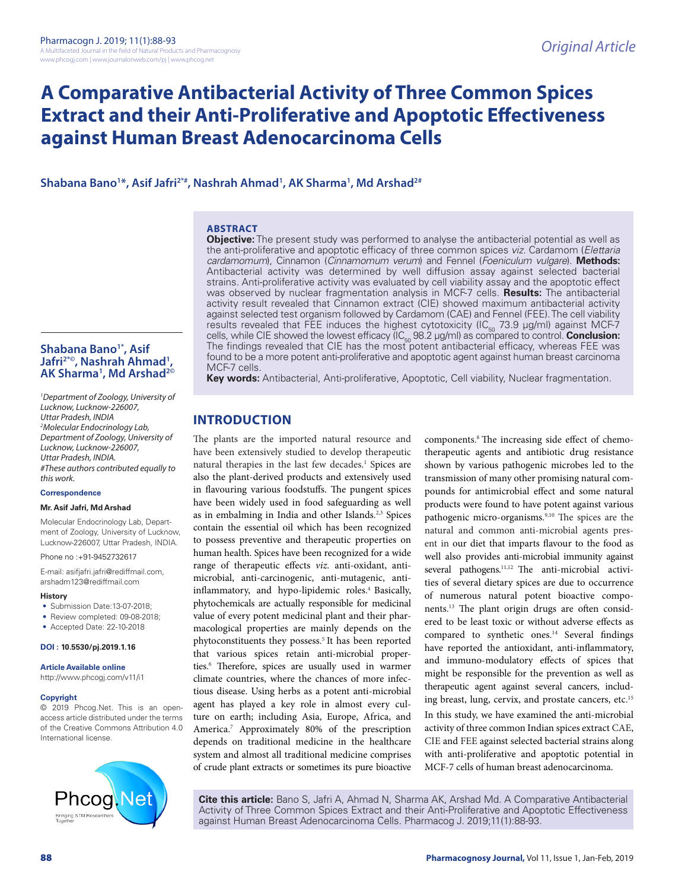# **A Comparative Antibacterial Activity of Three Common Spices Extract and their Anti-Proliferative and Apoptotic Effectiveness against Human Breast Adenocarcinoma Cells**

**Shabana Bano1 \*, Asif Jafri2\*#, Nashrah Ahmad1 , AK Sharma1 , Md Arshad2#**

## **ABSTRACT**

**Objective:** The present study was performed to analyse the antibacterial potential as well as the anti-proliferative and apoptotic efficacy of three common spices *viz.* Cardamom (*Elettaria cardamomum*), Cinnamon (*Cinnamomum verum*) and Fennel (*Foeniculum vulgare*). **Methods:**  Antibacterial activity was determined by well diffusion assay against selected bacterial strains. Anti-proliferative activity was evaluated by cell viability assay and the apoptotic effect was observed by nuclear fragmentation analysis in MCF-7 cells. **Results:** The antibacterial activity result revealed that Cinnamon extract (CIE) showed maximum antibacterial activity against selected test organism followed by Cardamom (CAE) and Fennel (FEE). The cell viability results revealed that FEE induces the highest cytotoxicity ( $IC_{50}$  73.9 µg/ml) against MCF-7 cells, while CIE showed the lowest efficacy (IC<sub>50</sub> 98.2 µg/ml) as compared to control. **Conclusion:**  $\overline{\phantom{a}}$ The findings revealed that CIE has the most potent antibacterial efficacy, whereas FEE was found to be a more potent anti-proliferative and apoptotic agent against human breast carcinoma MCF-7 cells.

**Key words:** Antibacterial, Anti-proliferative, Apoptotic, Cell viability, Nuclear fragmentation.

## **INTRODUCTION**

The plants are the imported natural resource and have been extensively studied to develop therapeutic natural therapies in the last few decades.<sup>1</sup> Spices are also the plant-derived products and extensively used in flavouring various foodstuffs. The pungent spices have been widely used in food safeguarding as well as in embalming in India and other Islands. 2,3 Spices contain the essential oil which has been recognized to possess preventive and therapeutic properties on human health. Spices have been recognized for a wide range of therapeutic effects *viz.* anti-oxidant, antimicrobial, anti-carcinogenic, anti-mutagenic, antiinflammatory, and hypo-lipidemic roles. <sup>4</sup> Basically, phytochemicals are actually responsible for medicinal value of every potent medicinal plant and their pharmacological properties are mainly depends on the phytoconstituents they possess. <sup>5</sup> It has been reported that various spices retain anti-microbial properties. 6 Therefore, spices are usually used in warmer climate countries, where the chances of more infectious disease. Using herbs as a potent anti-microbial agent has played a key role in almost every culture on earth; including Asia, Europe, Africa, and America. 7 Approximately 80% of the prescription depends on traditional medicine in the healthcare system and almost all traditional medicine comprises of crude plant extracts or sometimes its pure bioactive

components. <sup>8</sup> The increasing side effect of chemotherapeutic agents and antibiotic drug resistance shown by various pathogenic microbes led to the transmission of many other promising natural compounds for antimicrobial effect and some natural products were found to have potent against various pathogenic micro-organisms. 9,10 The spices are the natural and common anti-microbial agents present in our diet that imparts flavour to the food as well also provides anti-microbial immunity against several pathogens.<sup>11,12</sup> The anti-microbial activities of several dietary spices are due to occurrence of numerous natural potent bioactive components. 13 The plant origin drugs are often considered to be least toxic or without adverse effects as compared to synthetic ones. <sup>14</sup> Several findings have reported the antioxidant, anti-inflammatory, and immuno-modulatory effects of spices that might be responsible for the prevention as well as therapeutic agent against several cancers, including breast, lung, cervix, and prostate cancers, etc. 15 In this study, we have examined the anti-microbial activity of three common Indian spices extract CAE, CIE and FEE against selected bacterial strains along with anti-proliferative and apoptotic potential in MCF-7 cells of human breast adenocarcinoma.

**Cite this article:** Bano S, Jafri A, Ahmad N, Sharma AK, Arshad Md. A Comparative Antibacterial Activity of Three Common Spices Extract and their Anti-Proliferative and Apoptotic Effectiveness against Human Breast Adenocarcinoma Cells. Pharmacog J. 2019;11(1):88-93.

## **Shabana Bano1\*, Asif Jafri2\*©, Nashrah Ahmad1** Jafri<sup>2\*©</sup>, Nashrah Ahmad<sup>1</sup>,<br>AK Sharma<sup>1</sup>, Md Arshad<sup>2©</sup>

*1 Department of Zoology, University of Lucknow, Lucknow-226007, Uttar Pradesh, INDIA 2 Molecular Endocrinology Lab, Department of Zoology, University of Lucknow, Lucknow-226007, Uttar Pradesh, INDIA. #These authors contributed equally to this work.*

#### **Correspondence**

#### **Mr. Asif Jafri, Md Arshad**

Molecular Endocrinology Lab, Department of Zoology, University of Lucknow, Lucknow-226007, Uttar Pradesh, INDIA.

Phone no :+91-9452732617

E-mail: asifjafri.jafri@rediffmail.com, arshadm123@rediffmail.com

#### **History**

- Submission Date:13-07-2018:
- Review completed: 09-08-2018;
- Accepted Date: 22-10-2018

#### **DOI : 10.5530/pj.2019.1.16**

**Article Available online** 

http://www.phcogj.com/v11/i1

#### **Copyright**

© 2019 Phcog.Net. This is an openaccess article distributed under the terms of the Creative Commons Attribution 4.0 International license.

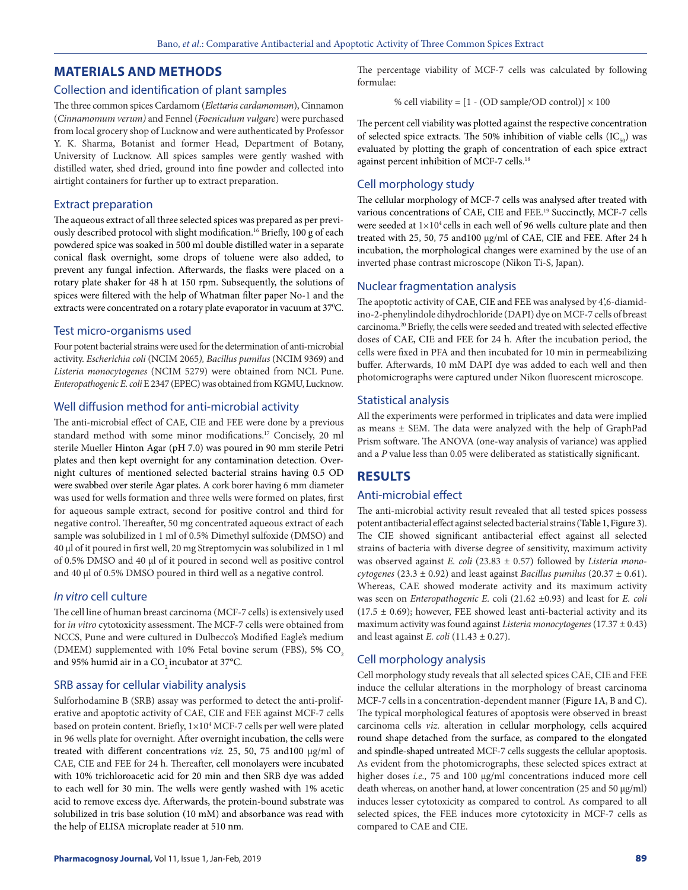## **MATERIALS AND METHODS**

## Collection and identification of plant samples

The three common spices Cardamom (*Elettaria cardamomum*), Cinnamon (*Cinnamomum verum)* and Fennel (*Foeniculum vulgare*) were purchased from local grocery shop of Lucknow and were authenticated by Professor Y. K. Sharma, Botanist and former Head, Department of Botany, University of Lucknow. All spices samples were gently washed with distilled water, shed dried, ground into fine powder and collected into airtight containers for further up to extract preparation.

#### Extract preparation

The aqueous extract of all three selected spices was prepared as per previously described protocol with slight modification. 16 Briefly, 100 g of each powdered spice was soaked in 500 ml double distilled water in a separate conical flask overnight, some drops of toluene were also added, to prevent any fungal infection. Afterwards, the flasks were placed on a rotary plate shaker for 48 h at 150 rpm. Subsequently, the solutions of spices were filtered with the help of Whatman filter paper No-1 and the extracts were concentrated on a rotary plate evaporator in vacuum at 37°C.

#### Test micro-organisms used

Four potent bacterial strains were used for the determination of anti-microbial activity. *Escherichia coli* (NCIM 2065*), Bacillus pumilus* (NCIM 9369) and *Listeria monocytogenes* (NCIM 5279) were obtained from NCL Pune. *Enteropathogenic E. coli* E 2347 (EPEC) was obtained from KGMU, Lucknow*.*

## Well diffusion method for anti-microbial activity

The anti-microbial effect of CAE, CIE and FEE were done by a previous standard method with some minor modifications.17 Concisely, 20 ml sterile Mueller Hinton Agar (pH 7.0) was poured in 90 mm sterile Petri plates and then kept overnight for any contamination detection. Overnight cultures of mentioned selected bacterial strains having 0.5 OD were swabbed over sterile Agar plates. A cork borer having 6 mm diameter was used for wells formation and three wells were formed on plates, first for aqueous sample extract, second for positive control and third for negative control. Thereafter, 50 mg concentrated aqueous extract of each sample was solubilized in 1 ml of 0.5% Dimethyl sulfoxide (DMSO) and 40 µl of it poured in first well, 20 mg Streptomycin was solubilized in 1 ml of 0.5% DMSO and 40 µl of it poured in second well as positive control and 40 µl of 0.5% DMSO poured in third well as a negative control.

## *In vitro* cell culture

The cell line of human breast carcinoma (MCF-7 cells) is extensively used for *in vitro* cytotoxicity assessment. The MCF-7 cells were obtained from NCCS, Pune and were cultured in Dulbecco's Modified Eagle's medium (DMEM) supplemented with 10% Fetal bovine serum (FBS), 5% CO<sub>2</sub> and 95% humid air in a CO<sub>2</sub> incubator at 37°C.

## SRB assay for cellular viability analysis

Sulforhodamine B (SRB) assay was performed to detect the anti-proliferative and apoptotic activity of CAE, CIE and FEE against MCF-7 cells based on protein content. Briefly, 1×104 MCF-7 cells per well were plated in 96 wells plate for overnight. After overnight incubation, the cells were treated with different concentrations *viz.* 25, 50, 75 and100 µg/ml of CAE, CIE and FEE for 24 h. Thereafter, cell monolayers were incubated with 10% trichloroacetic acid for 20 min and then SRB dye was added to each well for 30 min. The wells were gently washed with 1% acetic acid to remove excess dye. Afterwards, the protein-bound substrate was solubilized in tris base solution (10 mM) and absorbance was read with the help of ELISA microplate reader at 510 nm.

The percentage viability of MCF-7 cells was calculated by following formulae:

% cell viability =  $[1 - (OD sample/OD control)] \times 100$ 

The percent cell viability was plotted against the respective concentration of selected spice extracts. The 50% inhibition of viable cells  $(IC_{50})$  was evaluated by plotting the graph of concentration of each spice extract against percent inhibition of MCF-7 cells. 18

## Cell morphology study

The cellular morphology of MCF-7 cells was analysed after treated with various concentrations of CAE, CIE and FEE. 19 Succinctly, MCF-7 cells were seeded at  $1\times10^4$  cells in each well of 96 wells culture plate and then treated with 25, 50, 75 and100 µg/ml of CAE, CIE and FEE. After 24 h incubation, the morphological changes were examined by the use of an inverted phase contrast microscope (Nikon Ti-S, Japan).

#### Nuclear fragmentation analysis

The apoptotic activity of CAE, CIE and FEE was analysed by 4',6-diamidino-2-phenylindole dihydrochloride (DAPI) dye on MCF-7 cells of breast carcinoma.20 Briefly, the cells were seeded and treated with selected effective doses of CAE, CIE and FEE for 24 h. After the incubation period, the cells were fixed in PFA and then incubated for 10 min in permeabilizing buffer. Afterwards, 10 mM DAPI dye was added to each well and then photomicrographs were captured under Nikon fluorescent microscope.

#### Statistical analysis

All the experiments were performed in triplicates and data were implied as means  $\pm$  SEM. The data were analyzed with the help of GraphPad Prism software. The ANOVA (one-way analysis of variance) was applied and a *P* value less than 0.05 were deliberated as statistically significant.

## **RESULTS**

## Anti-microbial effect

The anti-microbial activity result revealed that all tested spices possess potent antibacterial effect against selected bacterial strains (Table 1, Figure 3). The CIE showed significant antibacterial effect against all selected strains of bacteria with diverse degree of sensitivity, maximum activity was observed against *E. coli* (23.83 ± 0.57) followed by *Listeria mono* $cytogenesis$  (23.3  $\pm$  0.92) and least against *Bacillus pumilus* (20.37  $\pm$  0.61). Whereas, CAE showed moderate activity and its maximum activity was seen on *Enteropathogenic E.* coli (21.62 ±0.93) and least for *E. coli*  $(17.5 \pm 0.69)$ ; however, FEE showed least anti-bacterial activity and its maximum activity was found against *Listeria monocytogenes* (17.37 ± 0.43) and least against *E. coli* (11.43  $\pm$  0.27).

## Cell morphology analysis

Cell morphology study reveals that all selected spices CAE, CIE and FEE induce the cellular alterations in the morphology of breast carcinoma MCF-7 cells in a concentration-dependent manner (Figure 1A, B and C). The typical morphological features of apoptosis were observed in breast carcinoma cells *viz.* alteration in cellular morphology, cells acquired round shape detached from the surface, as compared to the elongated and spindle-shaped untreated MCF-7 cells suggests the cellular apoptosis. As evident from the photomicrographs, these selected spices extract at higher doses *i.e.*, 75 and 100 µg/ml concentrations induced more cell death whereas, on another hand, at lower concentration (25 and 50 µg/ml) induces lesser cytotoxicity as compared to control. As compared to all selected spices, the FEE induces more cytotoxicity in MCF-7 cells as compared to CAE and CIE.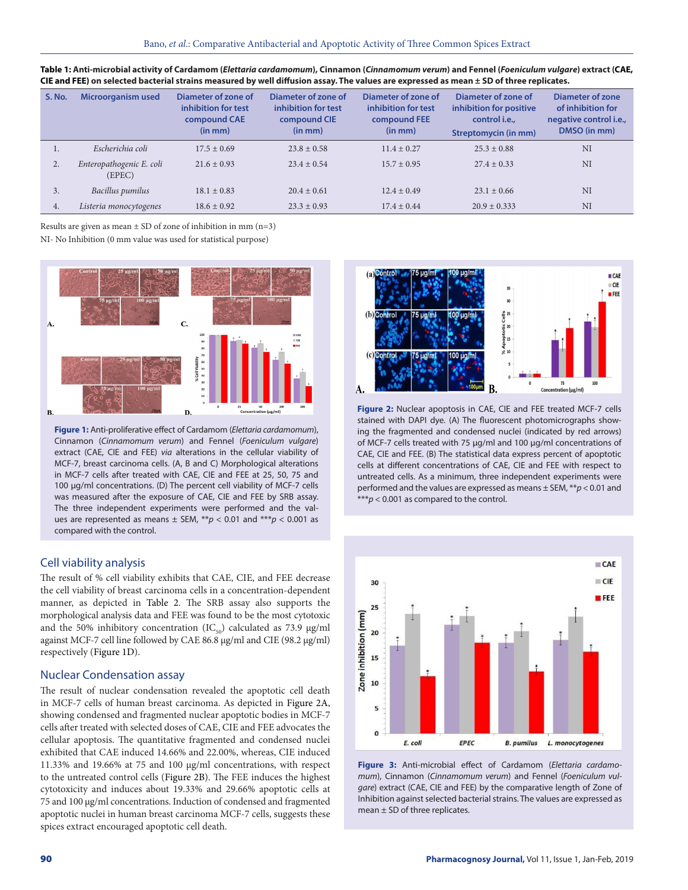| S. No. | Microorganism used                 | Diameter of zone of<br>inhibition for test<br>compound CAE<br>(in mm) | Diameter of zone of<br>inhibition for test<br>compound CIE<br>(in mm) | Diameter of zone of<br>inhibition for test<br>compound FEE<br>(in mm) | Diameter of zone of<br>inhibition for positive<br>control i.e.,<br><b>Streptomycin (in mm)</b> | <b>Diameter of zone</b><br>of inhibition for<br>negative control <i>i.e.</i> ,<br>DMSO (in mm) |
|--------|------------------------------------|-----------------------------------------------------------------------|-----------------------------------------------------------------------|-----------------------------------------------------------------------|------------------------------------------------------------------------------------------------|------------------------------------------------------------------------------------------------|
| 1.     | Escherichia coli                   | $17.5 \pm 0.69$                                                       | $23.8 \pm 0.58$                                                       | $11.4 \pm 0.27$                                                       | $25.3 \pm 0.88$                                                                                | NI                                                                                             |
| 2.     | Enteropathogenic E. coli<br>(EPEC) | $21.6 \pm 0.93$                                                       | $23.4 \pm 0.54$                                                       | $15.7 \pm 0.95$                                                       | $27.4 \pm 0.33$                                                                                | NI                                                                                             |
| 3.     | Bacillus pumilus                   | $18.1 \pm 0.83$                                                       | $20.4 \pm 0.61$                                                       | $12.4 \pm 0.49$                                                       | $23.1 \pm 0.66$                                                                                | NI                                                                                             |
| 4.     | Listeria monocytogenes             | $18.6 \pm 0.92$                                                       | $23.3 \pm 0.93$                                                       | $17.4 \pm 0.44$                                                       | $20.9 \pm 0.333$                                                                               | NI                                                                                             |

| Table 1: Anti-microbial activity of Cardamom (Elettaria cardamomum), Cinnamon (Cinnamomum verum) and Fennel (Foeniculum vulgare) extract (CAE, |
|------------------------------------------------------------------------------------------------------------------------------------------------|
| CIE and FEE) on selected bacterial strains measured by well diffusion assay. The values are expressed as mean ± SD of three replicates.        |

Results are given as mean  $\pm$  SD of zone of inhibition in mm (n=3)

NI- No Inhibition (0 mm value was used for statistical purpose)



**Figure 1:** Anti-proliferative effect of Cardamom (*Elettaria cardamomum*), Cinnamon (*Cinnamomum verum*) and Fennel (*Foeniculum vulgare*) extract (CAE, CIE and FEE) *via* alterations in the cellular viability of MCF-7, breast carcinoma cells. (A, B and C) Morphological alterations in MCF-7 cells after treated with CAE, CIE and FEE at 25, 50, 75 and 100 µg/ml concentrations. (D) The percent cell viability of MCF-7 cells was measured after the exposure of CAE, CIE and FEE by SRB assay. The three independent experiments were performed and the values are represented as means ± SEM, \*\**p* < 0.01 and \*\*\**p* < 0.001 as compared with the control.

## Cell viability analysis

The result of % cell viability exhibits that CAE, CIE, and FEE decrease the cell viability of breast carcinoma cells in a concentration-dependent manner, as depicted in Table 2. The SRB assay also supports the morphological analysis data and FEE was found to be the most cytotoxic and the 50% inhibitory concentration (IC<sub>50</sub>) calculated as 73.9 µg/ml against MCF-7 cell line followed by CAE 86.8 µg/ml and CIE (98.2 µg/ml) respectively (Figure 1D).

#### Nuclear Condensation assay

The result of nuclear condensation revealed the apoptotic cell death in MCF-7 cells of human breast carcinoma. As depicted in Figure 2A, showing condensed and fragmented nuclear apoptotic bodies in MCF-7 cells after treated with selected doses of CAE, CIE and FEE advocates the cellular apoptosis. The quantitative fragmented and condensed nuclei exhibited that CAE induced 14.66% and 22.00%, whereas, CIE induced 11.33% and 19.66% at 75 and 100 µg/ml concentrations, with respect to the untreated control cells (Figure 2B). The FEE induces the highest cytotoxicity and induces about 19.33% and 29.66% apoptotic cells at 75 and 100 µg/ml concentrations. Induction of condensed and fragmented apoptotic nuclei in human breast carcinoma MCF-7 cells, suggests these spices extract encouraged apoptotic cell death.



**Figure 2:** Nuclear apoptosis in CAE, CIE and FEE treated MCF-7 cells stained with DAPI dye. (A) The fluorescent photomicrographs showing the fragmented and condensed nuclei (indicated by red arrows) of MCF-7 cells treated with 75 µg/ml and 100 µg/ml concentrations of CAE, CIE and FEE. (B) The statistical data express percent of apoptotic cells at different concentrations of CAE, CIE and FEE with respect to untreated cells. As a minimum, three independent experiments were performed and the values are expressed as means ± SEM, \*\**p* < 0.01 and \*\*\**p* < 0.001 as compared to the control.



**Figure 3:** Anti-microbial effect of Cardamom (*Elettaria cardamomum*), Cinnamon (*Cinnamomum verum*) and Fennel (*Foeniculum vulgare*) extract (CAE, CIE and FEE) by the comparative length of Zone of Inhibition against selected bacterial strains. The values are expressed as mean ± SD of three replicates.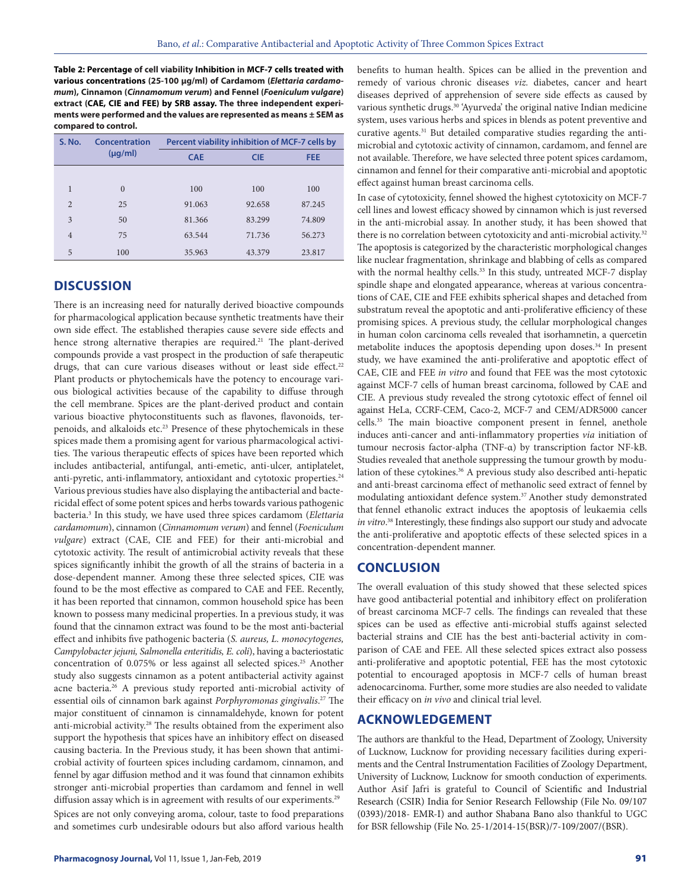**Table 2: Percentage of cell viability Inhibition in MCF-7 cells treated with various concentrations (25-100 µg/ml) of Cardamom (***Elettaria cardamomum***), Cinnamon (***Cinnamomum verum***) and Fennel (***Foeniculum vulgare***) extract (CAE, CIE and FEE) by SRB assay. The three independent experiments were performed and the values are represented as means ± SEM as compared to control.**

| <b>S. No.</b>  | Concentration | Percent viability inhibition of MCF-7 cells by |            |            |  |
|----------------|---------------|------------------------------------------------|------------|------------|--|
|                | $(\mu q/ml)$  | <b>CAE</b>                                     | <b>CIE</b> | <b>FEE</b> |  |
|                |               |                                                |            |            |  |
| 1              | $\Omega$      | 100                                            | 100        | 100        |  |
| $\overline{2}$ | 25            | 91.063                                         | 92.658     | 87.245     |  |
| 3              | 50            | 81.366                                         | 83.299     | 74.809     |  |
| $\overline{4}$ | 75            | 63.544                                         | 71.736     | 56.273     |  |
| 5              | 100           | 35.963                                         | 43.379     | 23.817     |  |

## **DISCUSSION**

There is an increasing need for naturally derived bioactive compounds for pharmacological application because synthetic treatments have their own side effect. The established therapies cause severe side effects and hence strong alternative therapies are required.<sup>21</sup> The plant-derived compounds provide a vast prospect in the production of safe therapeutic drugs, that can cure various diseases without or least side effect.<sup>22</sup> Plant products or phytochemicals have the potency to encourage various biological activities because of the capability to diffuse through the cell membrane. Spices are the plant-derived product and contain various bioactive phytoconstituents such as flavones, flavonoids, terpenoids, and alkaloids etc.23 Presence of these phytochemicals in these spices made them a promising agent for various pharmacological activities. The various therapeutic effects of spices have been reported which includes antibacterial, antifungal, anti-emetic, anti-ulcer, antiplatelet, anti-pyretic, anti-inflammatory, antioxidant and cytotoxic properties.<sup>24</sup> Various previous studies have also displaying the antibacterial and bactericidal effect of some potent spices and herbs towards various pathogenic bacteria.3 In this study, we have used three spices cardamom (*Elettaria cardamomum*), cinnamon (*Cinnamomum verum*) and fennel (*Foeniculum vulgare*) extract (CAE, CIE and FEE) for their anti-microbial and cytotoxic activity. The result of antimicrobial activity reveals that these spices significantly inhibit the growth of all the strains of bacteria in a dose-dependent manner. Among these three selected spices, CIE was found to be the most effective as compared to CAE and FEE. Recently, it has been reported that cinnamon, common household spice has been known to possess many medicinal properties. In a previous study, it was found that the cinnamon extract was found to be the most anti-bacterial effect and inhibits five pathogenic bacteria (*S. aureus, L. monocytogenes, Campylobacter jejuni, Salmonella enteritidis, E. coli*), having a bacteriostatic concentration of 0.075% or less against all selected spices.25 Another study also suggests cinnamon as a potent antibacterial activity against acne bacteria.26 A previous study reported anti-microbial activity of essential oils of cinnamon bark against *Porphyromonas gingivalis*. 27 The major constituent of cinnamon is cinnamaldehyde, known for potent anti-microbial activity.28 The results obtained from the experiment also support the hypothesis that spices have an inhibitory effect on diseased causing bacteria. In the Previous study, it has been shown that antimicrobial activity of fourteen spices including cardamom, cinnamon, and fennel by agar diffusion method and it was found that cinnamon exhibits stronger anti-microbial properties than cardamom and fennel in well diffusion assay which is in agreement with results of our experiments.<sup>29</sup> Spices are not only conveying aroma, colour, taste to food preparations and sometimes curb undesirable odours but also afford various health

benefits to human health. Spices can be allied in the prevention and remedy of various chronic diseases *viz.* diabetes, cancer and heart diseases deprived of apprehension of severe side effects as caused by various synthetic drugs.<sup>30</sup> 'Ayurveda' the original native Indian medicine system, uses various herbs and spices in blends as potent preventive and curative agents.<sup>31</sup> But detailed comparative studies regarding the antimicrobial and cytotoxic activity of cinnamon, cardamom, and fennel are not available. Therefore, we have selected three potent spices cardamom, cinnamon and fennel for their comparative anti-microbial and apoptotic effect against human breast carcinoma cells.

In case of cytotoxicity, fennel showed the highest cytotoxicity on MCF-7 cell lines and lowest efficacy showed by cinnamon which is just reversed in the anti-microbial assay. In another study, it has been showed that there is no correlation between cytotoxicity and anti-microbial activity.<sup>32</sup> The apoptosis is categorized by the characteristic morphological changes like nuclear fragmentation, shrinkage and blabbing of cells as compared with the normal healthy cells.<sup>33</sup> In this study, untreated MCF-7 display spindle shape and elongated appearance, whereas at various concentrations of CAE, CIE and FEE exhibits spherical shapes and detached from substratum reveal the apoptotic and anti-proliferative efficiency of these promising spices. A previous study, the cellular morphological changes in human colon carcinoma cells revealed that isorhamnetin, a quercetin metabolite induces the apoptosis depending upon doses.<sup>34</sup> In present study, we have examined the anti-proliferative and apoptotic effect of CAE, CIE and FEE *in vitro* and found that FEE was the most cytotoxic against MCF-7 cells of human breast carcinoma, followed by CAE and CIE. A previous study revealed the strong cytotoxic effect of fennel oil against HeLa, CCRF-CEM, Caco-2, MCF-7 and CEM/ADR5000 cancer cells.35 The main bioactive component present in fennel, anethole induces anti-cancer and anti-inflammatory properties *via* initiation of tumour necrosis factor-alpha (TNF-α) by transcription factor NF-kB. Studies revealed that anethole suppressing the tumour growth by modulation of these cytokines.<sup>36</sup> A previous study also described anti-hepatic and anti-breast carcinoma effect of methanolic seed extract of fennel by modulating antioxidant defence system.37 Another study demonstrated that fennel ethanolic extract induces the apoptosis of leukaemia cells *in vitro*. 38 Interestingly, these findings also support our study and advocate the anti-proliferative and apoptotic effects of these selected spices in a concentration-dependent manner.

## **CONCLUSION**

The overall evaluation of this study showed that these selected spices have good antibacterial potential and inhibitory effect on proliferation of breast carcinoma MCF-7 cells. The findings can revealed that these spices can be used as effective anti-microbial stuffs against selected bacterial strains and CIE has the best anti-bacterial activity in comparison of CAE and FEE. All these selected spices extract also possess anti-proliferative and apoptotic potential, FEE has the most cytotoxic potential to encouraged apoptosis in MCF-7 cells of human breast adenocarcinoma. Further, some more studies are also needed to validate their efficacy on *in vivo* and clinical trial level.

## **ACKNOWLEDGEMENT**

The authors are thankful to the Head, Department of Zoology, University of Lucknow, Lucknow for providing necessary facilities during experiments and the Central Instrumentation Facilities of Zoology Department, University of Lucknow, Lucknow for smooth conduction of experiments. Author Asif Jafri is grateful to Council of Scientific and Industrial Research (CSIR) India for Senior Research Fellowship (File No. 09/107 (0393)/2018- EMR-I) and author Shabana Bano also thankful to UGC for BSR fellowship (File No. 25-1/2014-15(BSR)/7-109/2007/(BSR).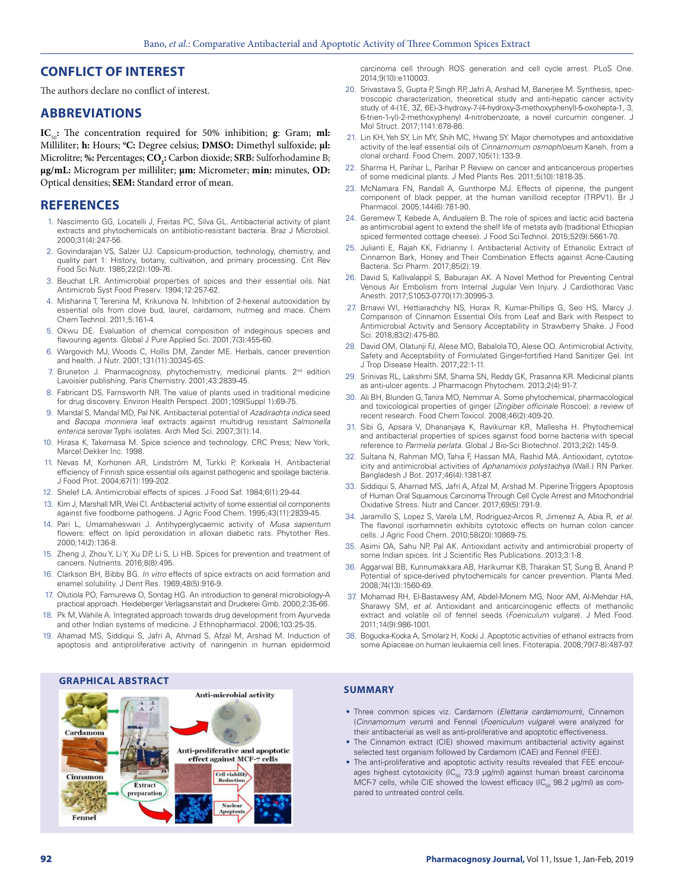## **CONFLICT OF INTEREST**

The authors declare no conflict of interest.

## **ABBREVIATIONS**

**IC**<sub>50</sub>: The concentration required for 50% inhibition; **g**: Gram; **ml:** Milliliter; **h:** Hours; **<sup>o</sup> C:** Degree celsius; **DMSO:** Dimethyl sulfoxide; **μl:**  Microlitre; %: Percentages;  $\textbf{CO}_2$ : Carbon dioxide; **SRB:** Sulforhodamine B; **μg/mL:** Microgram per milliliter; **μm:** Micrometer; **min:** minutes, **OD:**  Optical densities; **SEM:** Standard error of mean.

## **REFERENCES**

- 1. Nascimento GG, Locatelli J, Freitas PC, Silva GL. Antibacterial activity of plant extracts and phytochemicals on antibiotic-resistant bacteria. Braz J Microbiol. 2000;31(4):247-56.
- 2. Govindarajan VS, Salzer UJ. Capsicum‐production, technology, chemistry, and quality part 1: History, botany, cultivation, and primary processing. Crit Rev Food Sci Nutr. 1985;22(2):109-76.
- 3. Beuchat LR. Antimicrobial properties of spices and their essential oils. Nat Antimicrob Syst Food Preserv. 1994;12:257-62.
- 4. Misharina T, Terenina M, Krikunova N. Inhibition of 2-hexenal autooxidation by essential oils from clove bud, laurel, cardamom, nutmeg and mace. Chem Chem Technol. 2011;5:161-4.
- 5. Okwu DE. Evaluation of chemical composition of indeginous species and flavouring agents. Global J Pure Applied Sci. 2001;7(3):455-60.
- 6. Wargovich MJ, Woods C, Hollis DM, Zander ME. Herbals, cancer prevention and health. J Nutr. 2001;131(11):3034S-6S.
- 7. Bruneton J. Pharmacognosy, phytochemistry, medicinal plants. 2<sup>nd</sup> edition Lavoisier publishing. Paris Chemistry. 2001;43:2839-45.
- 8. Fabricant DS, Farnsworth NR. The value of plants used in traditional medicine for drug discovery. Environ Health Perspect. 2001;109(Suppl 1):69-75.
- 9. Mandal S, Mandal MD, Pal NK. Antibacterial potential of *Azadirachta indica* seed and *Bacopa monniera* leaf extracts against multidrug resistant *Salmonella enterica* serovar Typhi isolates. Arch Med Sci. 2007;3(1):14.
- 10. Hirasa K, Takemasa M. Spice science and technology. CRC Press; New York, Marcel Dekker Inc. 1998.
- 11. Nevas M, Korhonen AR, Lindström M, Turkki P, Korkeala H. Antibacterial efficiency of Finnish spice essential oils against pathogenic and spoilage bacteria. J Food Prot. 2004;67(1):199-202.
- 12. Shelef LA. Antimicrobial effects of spices. J Food Saf. 1984;6(1):29-44.
- 13. Kim J, Marshall MR, Wei CI. Antibacterial activity of some essential oil components against five foodborne pathogens*.* J Agric Food Chem. 1995;43(11):2839-45.
- 14. Pari L, Umamaheswari J. Antihyperglycaemic activity of *Musa sapientum* flowers: effect on lipid peroxidation in alloxan diabetic rats. Phytother Res. 2000;14(2):136-8.
- 15. Zheng J, Zhou Y, Li Y, Xu DP, Li S, Li HB. Spices for prevention and treatment of cancers. Nutrients. 2016;8(8):495.
- 16. Clarkson BH, Bibby BG. *In vitro* effects of spice extracts on acid formation and enamel solubility. J Dent Res. 1969;48(5):916-9.
- 17. Olutiola PO, Famurewa O, Sontag HG. An introduction to general microbiology-A practical approach. Heideberger Verlagsanstait and Druckerei Gmb. 2000;2:35-66.
- 18. Pk M, Wahile A. Integrated approach towards drug development from Ayurveda and other Indian systems of medicine. J Ethnopharmacol. 2006;103:25-35.
- 19. Ahamad MS, Siddiqui S, Jafri A, Ahmad S, Afzal M, Arshad M. Induction of apoptosis and antiproliferative activity of naringenin in human epidermoid

# **GRAPHICAL ABSTRACT**



carcinoma cell through ROS generation and cell cycle arrest. PLoS One. 2014;9(10):e110003.

- 20. Srivastava S, Gupta P, Singh RP, Jafri A, Arshad M, Banerjee M. Synthesis, spectroscopic characterization, theoretical study and anti-hepatic cancer activity study of 4-(1E, 3Z, 6E)-3-hydroxy-7-(4-hydroxy-3-methoxyphenyl)-5-oxohepta-1, 3, 6-trien-1-yl)-2-methoxyphenyl 4-nitrobenzoate, a novel curcumin congener. J Mol Struct. 2017;1141:678-86.
- 21. Lin KH, Yeh SY, Lin MY, Shih MC, Hwang SY. Major chemotypes and antioxidative activity of the leaf essential oils of *Cinnamomum osmophloeum* Kaneh. from a clonal orchard*.* Food Chem. 2007;105(1):133-9.
- 22. Sharma H, Parihar L, Parihar P. Review on cancer and anticancerous properties of some medicinal plants. J Med Plants Res. 2011;5(10):1818-35.
- 23. McNamara FN, Randall A, Gunthorpe MJ. Effects of piperine, the pungent component of black pepper, at the human vanilloid receptor (TRPV1). Br J Pharmacol. 2005;144(6):781-90.
- 24. Geremew T, Kebede A, Andualem B. The role of spices and lactic acid bacteria as antimicrobial agent to extend the shelf life of metata ayib (traditional Ethiopian spiced fermented cottage cheese). J Food Sci Technol. 2015;52(9):5661-70.
- 25. Julianti E, Rajah KK, Fidrianny I. Antibacterial Activity of Ethanolic Extract of Cinnamon Bark, Honey and Their Combination Effects against Acne-Causing Bacteria. Sci Pharm. 2017;85(2):19.
- 26. David S, Kallivalappil S, Baburajan AK. A Novel Method for Preventing Central Venous Air Embolism from Internal Jugular Vein Injury. J Cardiothorac Vasc Anesth. 2017;S1053-0770(17):30995-3.
- 27. Brnawi WI, Hettiarachchy NS, Horax R, Kumar-Phillips G, Seo HS, Marcy J. Comparison of Cinnamon Essential Oils from Leaf and Bark with Respect to Antimicrobial Activity and Sensory Acceptability in Strawberry Shake. J Food Sci. 2018;83(2):475-80.
- 28. David OM, Olatunji FJ, Alese MO, Babalola TO, Alese OO. Antimicrobial Activity, Safety and Acceptability of Formulated Ginger-fortified Hand Sanitizer Gel. Int J Trop Disease Health. 2017;22:1-11.
- 29. Srinivas RL, Lakshmi SM, Shama SN, Reddy GK, Prasanna KR. Medicinal plants as anti-ulcer agents. J Pharmacogn Phytochem. 2013;2(4):91-7.
- 30. Ali BH, Blunden G, Tanira MO, Nemmar A. Some phytochemical, pharmacological and toxicological properties of ginger (*Zingiber officinale* Roscoe): a review of recent research. Food Chem Toxicol. 2008;46(2):409-20.
- 31. Sibi G, Apsara V, Dhananjaya K, Ravikumar KR, Mallesha H. Phytochemical and antibacterial properties of spices against food borne bacteria with special reference to *Parmelia perlata*. Global J Bio-Sci Biotechnol. 2013;2(2):145-9.
- Sultana N, Rahman MO, Tahia F, Hassan MA, Rashid MA. Antioxidant, cytotoxicity and antimicrobial activities of *Aphanamixis polystachya* (Wall.) RN Parker. Bangladesh J Bot. 2017;46(4):1381-87.
- 33. Siddiqui S, Ahamad MS, Jafri A, Afzal M, Arshad M. Piperine Triggers Apoptosis of Human Oral Squamous Carcinoma Through Cell Cycle Arrest and Mitochondrial Oxidative Stress. Nutr and Cancer. 2017;69(5):791-9.
- 34. Jaramillo S, Lopez S, Varela LM, Rodriguez-Arcos R, Jimenez A, Abia R, *et al*. The flavonol isorhamnetin exhibits cytotoxic effects on human colon cancer cells. J Agric Food Chem. 2010;58(20):10869-75.
- 35. Asimi OA, Sahu NP, Pal AK. Antioxidant activity and antimicrobial property of some Indian spices. Int J Scientific Res Publications. 2013;3:1-8.
- 36. Aggarwal BB, Kunnumakkara AB, Harikumar KB, Tharakan ST, Sung B, Anand P. Potential of spice-derived phytochemicals for cancer prevention. Planta Med. 2008;74(13):1560-69.
- 37. Mohamad RH, El-Bastawesy AM, Abdel-Monem MG, Noor AM, Al-Mehdar HA, Sharawy SM, *et al*. Antioxidant and anticarcinogenic effects of methanolic extract and volatile oil of fennel seeds (*Foeniculum vulgare*). J Med Food. 2011;14(9):986-1001.
- 38. Bogucka-Kocka A, Smolarz H, Kocki J. Apoptotic activities of ethanol extracts from some Apiaceae on human leukaemia cell lines. Fitoterapia. 2008;79(7-8):487-97.

#### **SUMMARY**

- Three common spices viz. Cardamom (*Elettaria cardamomum*), Cinnamon (*Cinnamomum verum*) and Fennel (*Foeniculum vulgare*) were analyzed for their antibacterial as well as anti-proliferative and apoptotic effectiveness.
- The Cinnamon extract (CIE) showed maximum antibacterial activity against selected test organism followed by Cardamom (CAE) and Fennel (FEE).
- The anti-proliferative and apoptotic activity results revealed that FEE encourages highest cytotoxicity (IC $_{50}$  73.9 µg/ml) against human breast carcinoma MCF-7 cells, while CIE showed the lowest efficacy (IC $_{50}$  98.2 µg/ml) as compared to untreated control cells.